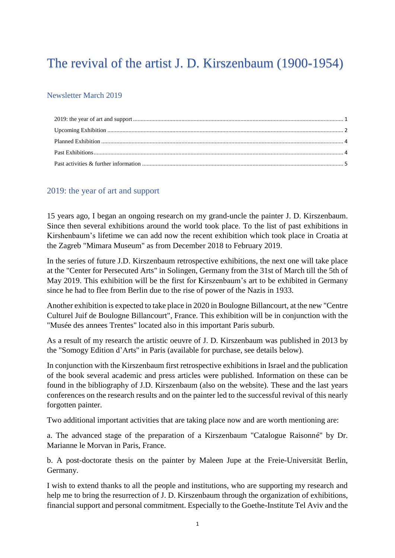# The revival of the artist J. D. Kirszenbaum (1900-1954)

#### Newsletter March 2019

#### <span id="page-0-0"></span>2019: the year of art and support

15 years ago, I began an ongoing research on my grand-uncle the painter J. D. Kirszenbaum. Since then several exhibitions around the world took place. To the list of past exhibitions in Kirshenbaum's lifetime we can add now the recent exhibition which took place in Croatia at the Zagreb "Mimara Museum" as from December 2018 to February 2019.

In the series of future J.D. Kirszenbaum retrospective exhibitions, the next one will take place at the "Center for Persecuted Arts" in Solingen, Germany from the 31st of March till the 5th of May 2019. This exhibition will be the first for Kirszenbaum's art to be exhibited in Germany since he had to flee from Berlin due to the rise of power of the Nazis in 1933.

Another exhibition is expected to take place in 2020 in Boulogne Billancourt, at the new "Centre Culturel Juif de Boulogne Billancourt", France. This exhibition will be in conjunction with the "Musée des annees Trentes" located also in this important Paris suburb.

As a result of my research the artistic oeuvre of J. D. Kirszenbaum was published in 2013 by the "Somogy Edition d'Arts" in Paris (available for purchase, see details below).

In conjunction with the Kirszenbaum first retrospective exhibitions in Israel and the publication of the book several academic and press articles were published. Information on these can be found in the bibliography of J.D. Kirszenbaum (also on the website). These and the last years conferences on the research results and on the painter led to the successful revival of this nearly forgotten painter.

Two additional important activities that are taking place now and are worth mentioning are:

a. The advanced stage of the preparation of a Kirszenbaum "Catalogue Raisonné" by Dr. Marianne le Morvan in Paris, France.

b. A post-doctorate thesis on the painter by Maleen Jupe at the Freie-Universität Berlin, Germany.

I wish to extend thanks to all the people and institutions, who are supporting my research and help me to bring the resurrection of J. D. Kirszenbaum through the organization of exhibitions, financial support and personal commitment. Especially to the Goethe-Institute Tel Aviv and the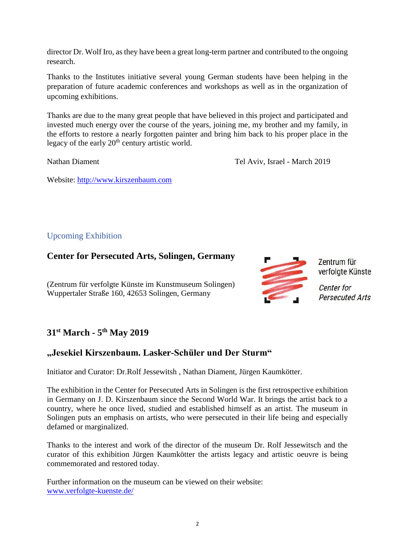director Dr. Wolf Iro, as they have been a great long-term partner and contributed to the ongoing research.

Thanks to the Institutes initiative several young German students have been helping in the preparation of future academic conferences and workshops as well as in the organization of upcoming exhibitions.

Thanks are due to the many great people that have believed in this project and participated and invested much energy over the course of the years, joining me, my brother and my family, in the efforts to restore a nearly forgotten painter and bring him back to his proper place in the legacy of the early  $20<sup>th</sup>$  century artistic world.

Nathan Diament Tel Aviv, Israel - March 2019

Website: [http://www.kirszenbaum.com](http://www.kirszenbaum.com/)

## <span id="page-1-0"></span>Upcoming Exhibition

## **Center for Persecuted Arts, Solingen, Germany**

(Zentrum für verfolgte Künste im Kunstmuseum Solingen) Wuppertaler Straße 160, 42653 Solingen, Germany



Zentrum für verfolgte Künste **Center** for

**Persecuted Arts** 

# **31st March - 5 th May 2019**

# **"Jesekiel Kirszenbaum. Lasker-Schüler und Der Sturm"**

Initiator and Curator: Dr.Rolf Jessewitsh , Nathan Diament, Jürgen Kaumkötter.

The exhibition in the Center for Persecuted Arts in Solingen is the first retrospective exhibition in Germany on J. D. Kirszenbaum since the Second World War. It brings the artist back to a country, where he once lived, studied and established himself as an artist. The museum in Solingen puts an emphasis on artists, who were persecuted in their life being and especially defamed or marginalized.

Thanks to the interest and work of the director of the museum Dr. Rolf Jessewitsch and the curator of this exhibition Jürgen Kaumkötter the artists legacy and artistic oeuvre is being commemorated and restored today.

Further information on the museum can be viewed on their website: [www.verfolgte-kuenste.de/](http://www.verfolgte-kuenste.de/)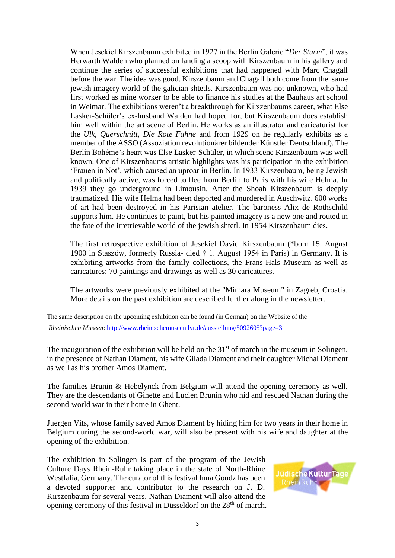When Jesekiel Kirszenbaum exhibited in 1927 in the Berlin Galerie "*Der Sturm*", it was Herwarth Walden who planned on landing a scoop with Kirszenbaum in his gallery and continue the series of successful exhibitions that had happened with Marc Chagall before the war. The idea was good. Kirszenbaum and Chagall both come from the same jewish imagery world of the galician shtetls. Kirszenbaum was not unknown, who had first worked as mine worker to be able to finance his studies at the Bauhaus art school in Weimar. The exhibitions weren't a breakthrough for Kirszenbaums career, what Else Lasker-Schüler's ex-husband Walden had hoped for, but Kirszenbaum does establish him well within the art scene of Berlin. He works as an illustrator and caricaturist for the *Ulk*, *Querschnitt*, *Die Rote Fahne* and from 1929 on he regularly exhibits as a member of the ASSO (Assoziation revolutionärer bildender Künstler Deutschland). The Berlin Bohéme's heart was Else Lasker-Schüler, in which scene Kirszenbaum was well known. One of Kirszenbaums artistic highlights was his participation in the exhibition 'Frauen in Not', which caused an uproar in Berlin. In 1933 Kirszenbaum, being Jewish and politically active, was forced to flee from Berlin to Paris with his wife Helma. In 1939 they go underground in Limousin. After the Shoah Kirszenbaum is deeply traumatized. His wife Helma had been deported and murdered in Auschwitz. 600 works of art had been destroyed in his Parisian atelier. The baroness Alix de Rothschild supports him. He continues to paint, but his painted imagery is a new one and routed in the fate of the irretrievable world of the jewish shtetl. In 1954 Kirszenbaum dies.

The first retrospective exhibition of Jesekiel David Kirszenbaum (\*born 15. August 1900 in Staszów, formerly Russia- died † 1. August 1954 in Paris) in Germany. It is exhibiting artworks from the family collections, the Frans-Hals Museum as well as caricatures: 70 paintings and drawings as well as 30 caricatures.

The artworks were previously exhibited at the "Mimara Museum" in Zagreb, Croatia. More details on the past exhibition are described further along in the newsletter.

The same description on the upcoming exhibition can be found (in German) on the Website of the *Rheinischen Museen*: <http://www.rheinischemuseen.lvr.de/ausstellung/5092605?page=3>

The inauguration of the exhibition will be held on the  $31<sup>st</sup>$  of march in the museum in Solingen, in the presence of Nathan Diament, his wife Gilada Diament and their daughter Michal Diament as well as his brother Amos Diament.

The families Brunin & Hebelynck from Belgium will attend the opening ceremony as well. They are the descendants of Ginette and Lucien Brunin who hid and rescued Nathan during the second-world war in their home in Ghent.

Juergen Vits, whose family saved Amos Diament by hiding him for two years in their home in Belgium during the second-world war, will also be present with his wife and daughter at the opening of the exhibition.

The exhibition in Solingen is part of the program of the Jewish Culture Days Rhein-Ruhr taking place in the state of North-Rhine Westfalia, Germany. The curator of this festival Inna Goudz has been a devoted supporter and contributor to the research on J. D. Kirszenbaum for several years. Nathan Diament will also attend the opening ceremony of this festival in Düsseldorf on the 28<sup>th</sup> of march.

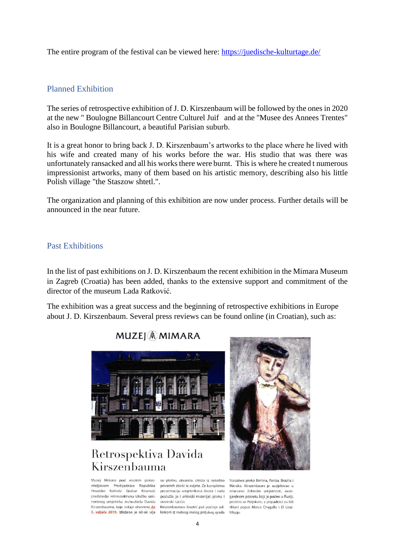The entire program of the festival can be viewed here:<https://juedische-kulturtage.de/>

#### <span id="page-3-0"></span>Planned Exhibition

The series of retrospective exhibition of J. D. Kirszenbaum will be followed by the ones in 2020 at the new " Boulogne Billancourt Centre Culturel Juif and at the "Musee des Annees Trentes" also in Boulogne Billancourt, a beautiful Parisian suburb.

It is a great honor to bring back J. D. Kirszenbaum's artworks to the place where he lived with his wife and created many of his works before the war. His studio that was there was unfortunately ransacked and all his works there were burnt. This is where he created t numerous impressionist artworks, many of them based on his artistic memory, describing also his little Polish village "the Staszow shtetl.".

The organization and planning of this exhibition are now under process. Further details will be announced in the near future.

#### <span id="page-3-1"></span>Past Exhibitions

In the list of past exhibitions on J. D. Kirszenbaum the recent exhibition in the Mimara Museum in Zagreb (Croatia) has been added, thanks to the extensive support and commitment of the director of the museum Lada Ratković.

The exhibition was a great success and the beginning of retrospective exhibitions in Europe about J. D. Kirszenbaum. Several press reviews can be found online (in Croatian), such as:

## **MUZEJ** *A* **MIMARA**



# Retrospektiva Davida Kirszenbauma

Muzej Mimara pod visokim pokroviteljstvom Predsjednice Republike Hrvatske Kolinde Grabar Kitarović predstavlja retrospektivnu izložbu eminentnog umjetnika Jechezkiela Davida Kirszenbauma, koja ostaje otvorena do 3. veljače 2019. Izloženo je 60-ak ulja laskom iz rodnog malog poljskog grada tzkyija.

na platnu, akvarela, crteža iz nekoliko privatnih zbirki iz svijeta. Za kompletnu prezentaciju umjetnikova života i rada poslužio je i arhivski materijal: pisma i .<br>novinski isječci.

Kirszenbaumov životni put počinie od-



Staszówa preko Berlina, Pariza, Brazila i Maroka. Kirszenbaum je sudjelovao u renesansi židovske umjetnosti, avangardnom pokretu koji je počeo u Rusiji, proširio se Poljskom, a pripadnici su bili slikari poput Marca Chagalla i El Lissi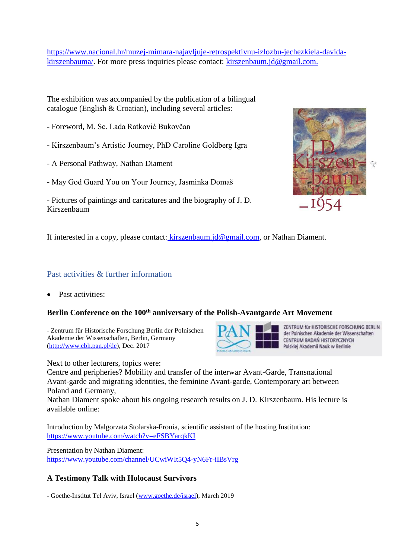[https://www.nacional.hr/muzej-mimara-najavljuje-retrospektivnu-izlozbu-jechezkiela-davida](https://www.nacional.hr/muzej-mimara-najavljuje-retrospektivnu-izlozbu-jechezkiela-davida-kirszenbauma/)[kirszenbauma/.](https://www.nacional.hr/muzej-mimara-najavljuje-retrospektivnu-izlozbu-jechezkiela-davida-kirszenbauma/) For more press inquiries please contact: [kirszenbaum.jd@gmail.com.](mailto:kirszenbaum.jd@gmail.com)

The exhibition was accompanied by the publication of a bilingual catalogue (English & Croatian), including several articles:

- Foreword, M. Sc. Lada Ratković Bukovčan
- Kirszenbaum's Artistic Journey, PhD Caroline Goldberg Igra
- A Personal Pathway, Nathan Diament
- May God Guard You on Your Journey, Jasminka Domaš
- Pictures of paintings and caricatures and the biography of J. D. Kirszenbaum



If interested in a copy, please contact: [kirszenbaum.jd@gmail.com,](mailto:kirszenbaum.jd@gmail.com) or Nathan Diament.

#### <span id="page-4-0"></span>Past activities & further information

Past activities:

#### **Berlin Conference on the 100th anniversary of the Polish-Avantgarde Art Movement**

- Zentrum für Historische Forschung Berlin der Polnischen Akademie der Wissenschaften, Berlin, Germany [\(http://www.cbh.pan.pl/de\)](http://www.cbh.pan.pl/de), Dec. 2017



ZENTRUM für HISTORISCHE FORSCHUNG BERLIN der Polnischen Akademie der Wissenschaften CENTRUM BADAŃ HISTORYCZNYCH Polskiej Akademii Nauk w Berlinie

Next to other lecturers, topics were:

Centre and peripheries? Mobility and transfer of the interwar Avant-Garde, Transnational Avant-garde and migrating identities, the feminine Avant-garde, Contemporary art between Poland and Germany,

Nathan Diament spoke about his ongoing research results on J. D. Kirszenbaum. His lecture is available online:

Introduction by Malgorzata Stolarska-Fronia, scientific assistant of the hosting Institution: <https://www.youtube.com/watch?v=eFSBYarqkKI>

Presentation by Nathan Diament: <https://www.youtube.com/channel/UCwiWIt5Q4-yN6Fr-iIBsVrg>

#### **A Testimony Talk with Holocaust Survivors**

- Goethe-Institut Tel Aviv, Israel [\(www.goethe.de/israel\)](http://www.goethe.de/israel), March 2019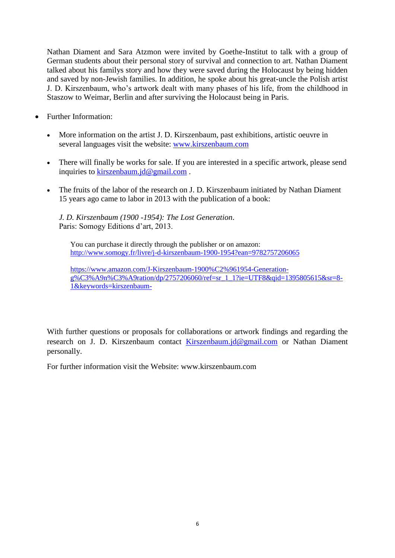Nathan Diament and Sara Atzmon were invited by Goethe-Institut to talk with a group of German students about their personal story of survival and connection to art. Nathan Diament talked about his familys story and how they were saved during the Holocaust by being hidden and saved by non-Jewish families. In addition, he spoke about his great-uncle the Polish artist J. D. Kirszenbaum, who's artwork dealt with many phases of his life, from the childhood in Staszow to Weimar, Berlin and after surviving the Holocaust being in Paris.

- Further Information:
	- More information on the artist J. D. Kirszenbaum, past exhibitions, artistic oeuvre in several languages visit the website: [www.kirszenbaum.com](http://www.kirszenbaum.com/)
	- There will finally be works for sale. If you are interested in a specific artwork, please send inquiries to [kirszenbaum.jd@gmail.com](mailto:kirszenbaum.jd@gmail.com).
	- The fruits of the labor of the research on J. D. Kirszenbaum initiated by Nathan Diament 15 years ago came to labor in 2013 with the publication of a book:

*J. D. Kirszenbaum (1900 -1954): The Lost Generation*. Paris: Somogy Editions d'art, 2013.

You can purchase it directly through the publisher or on amazon: <http://www.somogy.fr/livre/j-d-kirszenbaum-1900-1954?ean=9782757206065>

[https://www.amazon.com/J-Kirszenbaum-1900%C2%961954-Generation-](https://www.amazon.com/J-Kirszenbaum-1900%C2%961954-Generation-g%C3%A9n%C3%A9ration/dp/2757206060/ref=sr_1_1?ie=UTF8&qid=1395805615&sr=8-1&keywords=kirszenbaum-) $\frac{1}{2}\sqrt{\frac{C3}{6}A9n\%C3\%A9n\%C3\%A9rational}}$  A9ration/dp/2757206060/ref=sr\_1\_1?ie=UTF8&qid=1395805615&sr=8-[1&keywords=kirszenbaum-](https://www.amazon.com/J-Kirszenbaum-1900%C2%961954-Generation-g%C3%A9n%C3%A9ration/dp/2757206060/ref=sr_1_1?ie=UTF8&qid=1395805615&sr=8-1&keywords=kirszenbaum-)

With further questions or proposals for collaborations or artwork findings and regarding the research on J. D. Kirszenbaum contact [Kirszenbaum.jd@gmail.com](mailto:Kirszenbaum.jd@gmail.com) or Nathan Diament personally.

For further information visit the Website: www.kirszenbaum.com